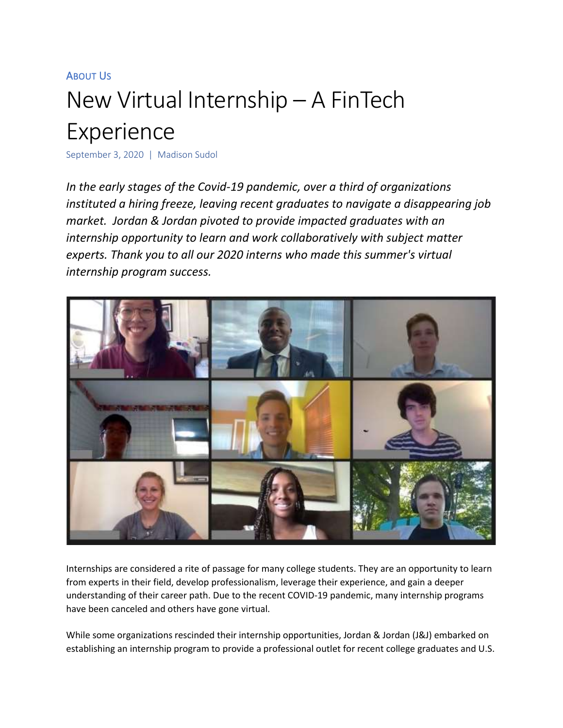## ABOUT US

## New Virtual Internship – A FinTech Experience

September 3, 2020 | Madison Sudol

*In the early stages of the Covid-19 pandemic, over a third of organizations instituted a hiring freeze, leaving recent graduates to navigate a disappearing job market. Jordan & Jordan pivoted to provide impacted graduates with an internship opportunity to learn and work collaboratively with subject matter experts. Thank you to all our 2020 interns who made this summer's virtual internship program success.*



Internships are considered a rite of passage for many college students. They are an opportunity to learn from experts in their field, develop professionalism, leverage their experience, and gain a deeper understanding of their career path. Due to the recent COVID-19 pandemic, many internship programs have been canceled and others have gone virtual.

While some organizations rescinded their internship opportunities, Jordan & Jordan (J&J) embarked on establishing an internship program to provide a professional outlet for recent college graduates and U.S.